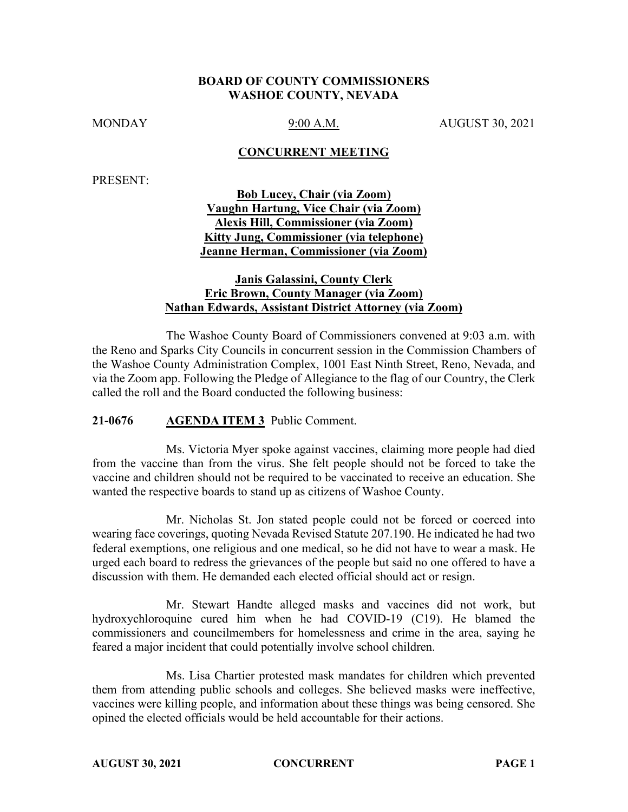### **BOARD OF COUNTY COMMISSIONERS WASHOE COUNTY, NEVADA**

MONDAY 9:00 A.M. AUGUST 30, 2021

### **CONCURRENT MEETING**

PRESENT:

**Bob Lucey, Chair (via Zoom) Vaughn Hartung, Vice Chair (via Zoom) Alexis Hill, Commissioner (via Zoom) Kitty Jung, Commissioner (via telephone) Jeanne Herman, Commissioner (via Zoom)**

## **Janis Galassini, County Clerk Eric Brown, County Manager (via Zoom) Nathan Edwards, Assistant District Attorney (via Zoom)**

The Washoe County Board of Commissioners convened at 9:03 a.m. with the Reno and Sparks City Councils in concurrent session in the Commission Chambers of the Washoe County Administration Complex, 1001 East Ninth Street, Reno, Nevada, and via the Zoom app. Following the Pledge of Allegiance to the flag of our Country, the Clerk called the roll and the Board conducted the following business:

### **21-0676 AGENDA ITEM 3** Public Comment.

Ms. Victoria Myer spoke against vaccines, claiming more people had died from the vaccine than from the virus. She felt people should not be forced to take the vaccine and children should not be required to be vaccinated to receive an education. She wanted the respective boards to stand up as citizens of Washoe County.

Mr. Nicholas St. Jon stated people could not be forced or coerced into wearing face coverings, quoting Nevada Revised Statute 207.190. He indicated he had two federal exemptions, one religious and one medical, so he did not have to wear a mask. He urged each board to redress the grievances of the people but said no one offered to have a discussion with them. He demanded each elected official should act or resign.

Mr. Stewart Handte alleged masks and vaccines did not work, but hydroxychloroquine cured him when he had COVID-19 (C19). He blamed the commissioners and councilmembers for homelessness and crime in the area, saying he feared a major incident that could potentially involve school children.

Ms. Lisa Chartier protested mask mandates for children which prevented them from attending public schools and colleges. She believed masks were ineffective, vaccines were killing people, and information about these things was being censored. She opined the elected officials would be held accountable for their actions.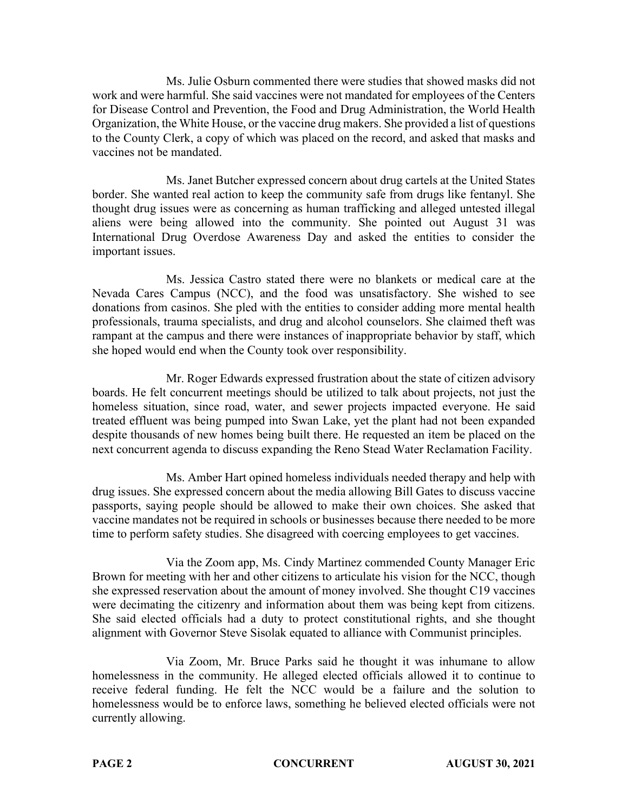Ms. Julie Osburn commented there were studies that showed masks did not work and were harmful. She said vaccines were not mandated for employees of the Centers for Disease Control and Prevention, the Food and Drug Administration, the World Health Organization, the White House, or the vaccine drug makers. She provided a list of questions to the County Clerk, a copy of which was placed on the record, and asked that masks and vaccines not be mandated.

Ms. Janet Butcher expressed concern about drug cartels at the United States border. She wanted real action to keep the community safe from drugs like fentanyl. She thought drug issues were as concerning as human trafficking and alleged untested illegal aliens were being allowed into the community. She pointed out August 31 was International Drug Overdose Awareness Day and asked the entities to consider the important issues.

Ms. Jessica Castro stated there were no blankets or medical care at the Nevada Cares Campus (NCC), and the food was unsatisfactory. She wished to see donations from casinos. She pled with the entities to consider adding more mental health professionals, trauma specialists, and drug and alcohol counselors. She claimed theft was rampant at the campus and there were instances of inappropriate behavior by staff, which she hoped would end when the County took over responsibility.

Mr. Roger Edwards expressed frustration about the state of citizen advisory boards. He felt concurrent meetings should be utilized to talk about projects, not just the homeless situation, since road, water, and sewer projects impacted everyone. He said treated effluent was being pumped into Swan Lake, yet the plant had not been expanded despite thousands of new homes being built there. He requested an item be placed on the next concurrent agenda to discuss expanding the Reno Stead Water Reclamation Facility.

Ms. Amber Hart opined homeless individuals needed therapy and help with drug issues. She expressed concern about the media allowing Bill Gates to discuss vaccine passports, saying people should be allowed to make their own choices. She asked that vaccine mandates not be required in schools or businesses because there needed to be more time to perform safety studies. She disagreed with coercing employees to get vaccines.

Via the Zoom app, Ms. Cindy Martinez commended County Manager Eric Brown for meeting with her and other citizens to articulate his vision for the NCC, though she expressed reservation about the amount of money involved. She thought C19 vaccines were decimating the citizenry and information about them was being kept from citizens. She said elected officials had a duty to protect constitutional rights, and she thought alignment with Governor Steve Sisolak equated to alliance with Communist principles.

Via Zoom, Mr. Bruce Parks said he thought it was inhumane to allow homelessness in the community. He alleged elected officials allowed it to continue to receive federal funding. He felt the NCC would be a failure and the solution to homelessness would be to enforce laws, something he believed elected officials were not currently allowing.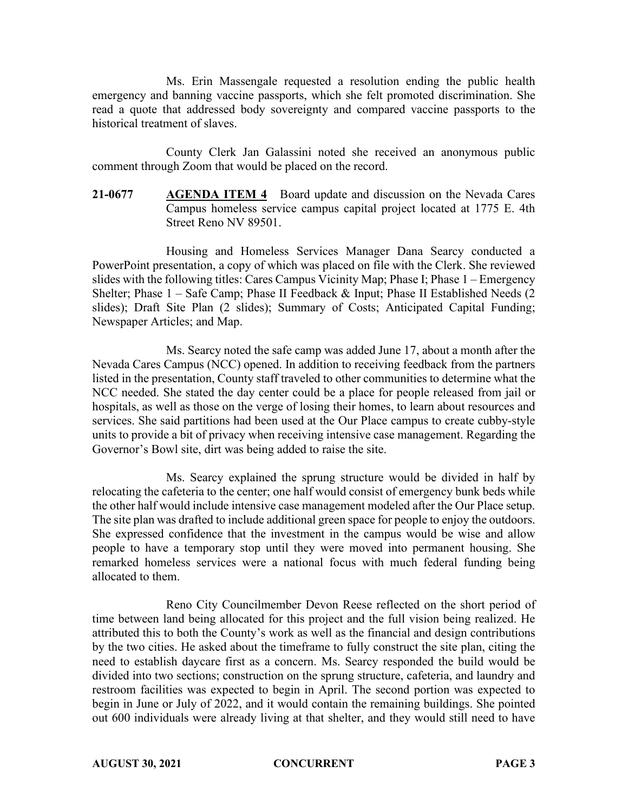Ms. Erin Massengale requested a resolution ending the public health emergency and banning vaccine passports, which she felt promoted discrimination. She read a quote that addressed body sovereignty and compared vaccine passports to the historical treatment of slaves.

County Clerk Jan Galassini noted she received an anonymous public comment through Zoom that would be placed on the record.

**21-0677 AGENDA ITEM 4** Board update and discussion on the Nevada Cares Campus homeless service campus capital project located at 1775 E. 4th Street Reno NV 89501.

Housing and Homeless Services Manager Dana Searcy conducted a PowerPoint presentation, a copy of which was placed on file with the Clerk. She reviewed slides with the following titles: Cares Campus Vicinity Map; Phase I; Phase 1 – Emergency Shelter; Phase  $1 -$  Safe Camp; Phase II Feedback & Input; Phase II Established Needs (2) slides); Draft Site Plan (2 slides); Summary of Costs; Anticipated Capital Funding; Newspaper Articles; and Map.

Ms. Searcy noted the safe camp was added June 17, about a month after the Nevada Cares Campus (NCC) opened. In addition to receiving feedback from the partners listed in the presentation, County staff traveled to other communities to determine what the NCC needed. She stated the day center could be a place for people released from jail or hospitals, as well as those on the verge of losing their homes, to learn about resources and services. She said partitions had been used at the Our Place campus to create cubby-style units to provide a bit of privacy when receiving intensive case management. Regarding the Governor's Bowl site, dirt was being added to raise the site.

Ms. Searcy explained the sprung structure would be divided in half by relocating the cafeteria to the center; one half would consist of emergency bunk beds while the other half would include intensive case management modeled after the Our Place setup. The site plan was drafted to include additional green space for people to enjoy the outdoors. She expressed confidence that the investment in the campus would be wise and allow people to have a temporary stop until they were moved into permanent housing. She remarked homeless services were a national focus with much federal funding being allocated to them.

Reno City Councilmember Devon Reese reflected on the short period of time between land being allocated for this project and the full vision being realized. He attributed this to both the County's work as well as the financial and design contributions by the two cities. He asked about the timeframe to fully construct the site plan, citing the need to establish daycare first as a concern. Ms. Searcy responded the build would be divided into two sections; construction on the sprung structure, cafeteria, and laundry and restroom facilities was expected to begin in April. The second portion was expected to begin in June or July of 2022, and it would contain the remaining buildings. She pointed out 600 individuals were already living at that shelter, and they would still need to have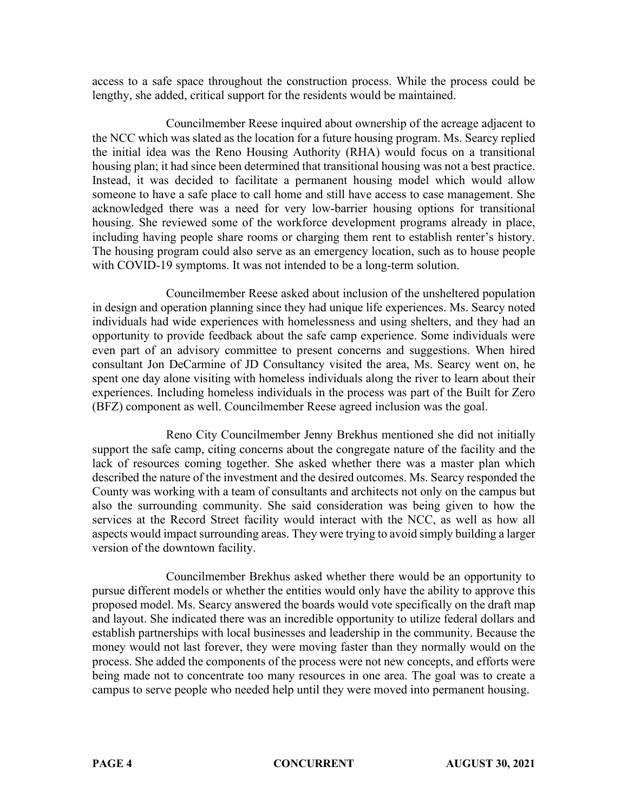access to a safe space throughout the construction process. While the process could be lengthy, she added, critical support for the residents would be maintained.

Councilmember Reese inquired about ownership of the acreage adjacent to the NCC which was slated as the location for a future housing program. Ms. Searcy replied the initial idea was the Reno Housing Authority (RHA) would focus on a transitional housing plan; it had since been determined that transitional housing was not a best practice. Instead, it was decided to facilitate a permanent housing model which would allow someone to have a safe place to call home and still have access to case management. She acknowledged there was a need for very low-barrier housing options for transitional housing. She reviewed some of the workforce development programs already in place, including having people share rooms or charging them rent to establish renter's history. The housing program could also serve as an emergency location, such as to house people with COVID-19 symptoms. It was not intended to be a long-term solution.

Councilmember Reese asked about inclusion of the unsheltered population in design and operation planning since they had unique life experiences. Ms. Searcy noted individuals had wide experiences with homelessness and using shelters, and they had an opportunity to provide feedback about the safe camp experience. Some individuals were even part of an advisory committee to present concerns and suggestions. When hired consultant Jon DeCarmine of JD Consultancy visited the area, Ms. Searcy went on, he spent one day alone visiting with homeless individuals along the river to learn about their experiences. Including homeless individuals in the process was part of the Built for Zero (BFZ) component as well. Councilmember Reese agreed inclusion was the goal.

Reno City Councilmember Jenny Brekhus mentioned she did not initially support the safe camp, citing concerns about the congregate nature of the facility and the lack of resources coming together. She asked whether there was a master plan which described the nature of the investment and the desired outcomes. Ms. Searcy responded the County was working with a team of consultants and architects not only on the campus but also the surrounding community. She said consideration was being given to how the services at the Record Street facility would interact with the NCC, as well as how all aspects would impact surrounding areas. They were trying to avoid simply building a larger version of the downtown facility.

Councilmember Brekhus asked whether there would be an opportunity to pursue different models or whether the entities would only have the ability to approve this proposed model. Ms. Searcy answered the boards would vote specifically on the draft map and layout. She indicated there was an incredible opportunity to utilize federal dollars and establish partnerships with local businesses and leadership in the community. Because the money would not last forever, they were moving faster than they normally would on the process. She added the components of the process were not new concepts, and efforts were being made not to concentrate too many resources in one area. The goal was to create a campus to serve people who needed help until they were moved into permanent housing.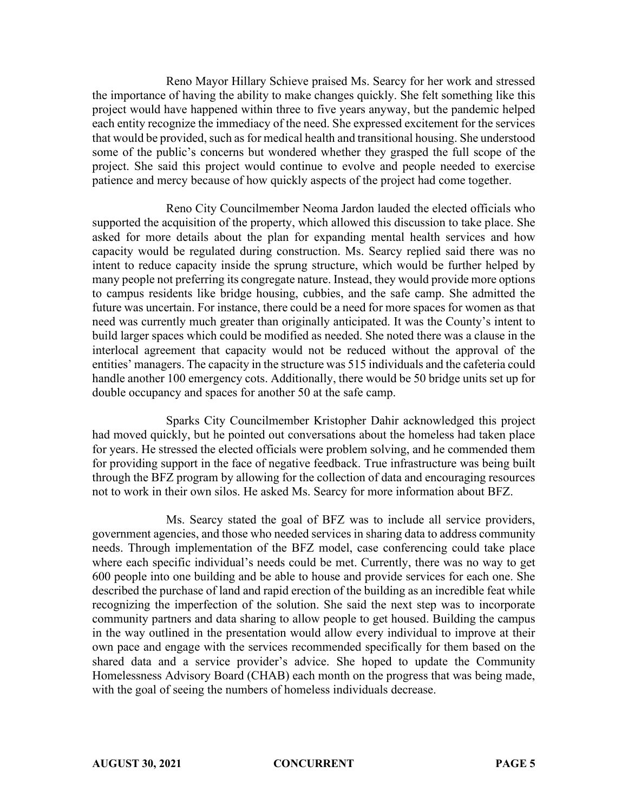Reno Mayor Hillary Schieve praised Ms. Searcy for her work and stressed the importance of having the ability to make changes quickly. She felt something like this project would have happened within three to five years anyway, but the pandemic helped each entity recognize the immediacy of the need. She expressed excitement for the services that would be provided, such as for medical health and transitional housing. She understood some of the public's concerns but wondered whether they grasped the full scope of the project. She said this project would continue to evolve and people needed to exercise patience and mercy because of how quickly aspects of the project had come together.

Reno City Councilmember Neoma Jardon lauded the elected officials who supported the acquisition of the property, which allowed this discussion to take place. She asked for more details about the plan for expanding mental health services and how capacity would be regulated during construction. Ms. Searcy replied said there was no intent to reduce capacity inside the sprung structure, which would be further helped by many people not preferring its congregate nature. Instead, they would provide more options to campus residents like bridge housing, cubbies, and the safe camp. She admitted the future was uncertain. For instance, there could be a need for more spaces for women as that need was currently much greater than originally anticipated. It was the County's intent to build larger spaces which could be modified as needed. She noted there was a clause in the interlocal agreement that capacity would not be reduced without the approval of the entities' managers. The capacity in the structure was 515 individuals and the cafeteria could handle another 100 emergency cots. Additionally, there would be 50 bridge units set up for double occupancy and spaces for another 50 at the safe camp.

Sparks City Councilmember Kristopher Dahir acknowledged this project had moved quickly, but he pointed out conversations about the homeless had taken place for years. He stressed the elected officials were problem solving, and he commended them for providing support in the face of negative feedback. True infrastructure was being built through the BFZ program by allowing for the collection of data and encouraging resources not to work in their own silos. He asked Ms. Searcy for more information about BFZ.

Ms. Searcy stated the goal of BFZ was to include all service providers, government agencies, and those who needed services in sharing data to address community needs. Through implementation of the BFZ model, case conferencing could take place where each specific individual's needs could be met. Currently, there was no way to get 600 people into one building and be able to house and provide services for each one. She described the purchase of land and rapid erection of the building as an incredible feat while recognizing the imperfection of the solution. She said the next step was to incorporate community partners and data sharing to allow people to get housed. Building the campus in the way outlined in the presentation would allow every individual to improve at their own pace and engage with the services recommended specifically for them based on the shared data and a service provider's advice. She hoped to update the Community Homelessness Advisory Board (CHAB) each month on the progress that was being made, with the goal of seeing the numbers of homeless individuals decrease.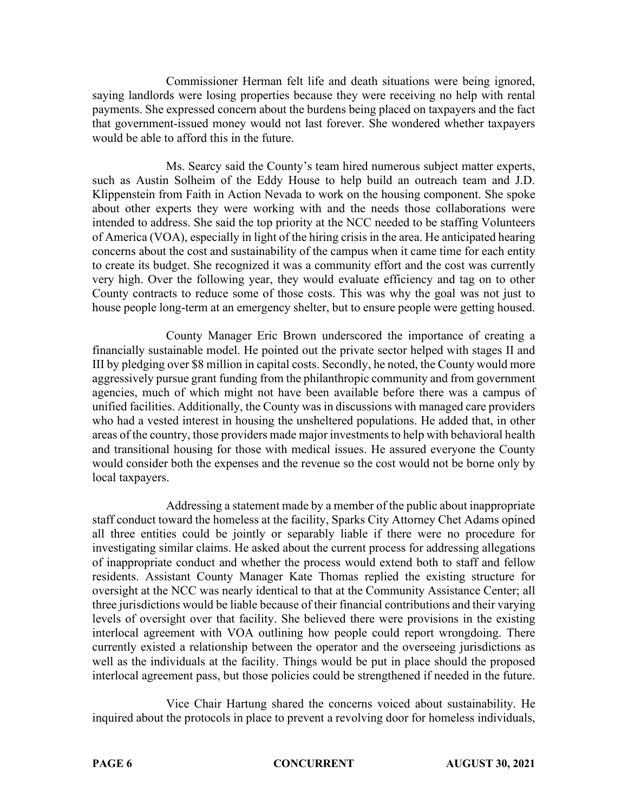Commissioner Herman felt life and death situations were being ignored, saying landlords were losing properties because they were receiving no help with rental payments. She expressed concern about the burdens being placed on taxpayers and the fact that government-issued money would not last forever. She wondered whether taxpayers would be able to afford this in the future.

Ms. Searcy said the County's team hired numerous subject matter experts, such as Austin Solheim of the Eddy House to help build an outreach team and J.D. Klippenstein from Faith in Action Nevada to work on the housing component. She spoke about other experts they were working with and the needs those collaborations were intended to address. She said the top priority at the NCC needed to be staffing Volunteers of America (VOA), especially in light of the hiring crisis in the area. He anticipated hearing concerns about the cost and sustainability of the campus when it came time for each entity to create its budget. She recognized it was a community effort and the cost was currently very high. Over the following year, they would evaluate efficiency and tag on to other County contracts to reduce some of those costs. This was why the goal was not just to house people long-term at an emergency shelter, but to ensure people were getting housed.

County Manager Eric Brown underscored the importance of creating a financially sustainable model. He pointed out the private sector helped with stages II and III by pledging over \$8 million in capital costs. Secondly, he noted, the County would more aggressively pursue grant funding from the philanthropic community and from government agencies, much of which might not have been available before there was a campus of unified facilities. Additionally, the County was in discussions with managed care providers who had a vested interest in housing the unsheltered populations. He added that, in other areas of the country, those providers made major investments to help with behavioral health and transitional housing for those with medical issues. He assured everyone the County would consider both the expenses and the revenue so the cost would not be borne only by local taxpayers.

Addressing a statement made by a member of the public about inappropriate staff conduct toward the homeless at the facility, Sparks City Attorney Chet Adams opined all three entities could be jointly or separably liable if there were no procedure for investigating similar claims. He asked about the current process for addressing allegations of inappropriate conduct and whether the process would extend both to staff and fellow residents. Assistant County Manager Kate Thomas replied the existing structure for oversight at the NCC was nearly identical to that at the Community Assistance Center; all three jurisdictions would be liable because of their financial contributions and their varying levels of oversight over that facility. She believed there were provisions in the existing interlocal agreement with VOA outlining how people could report wrongdoing. There currently existed a relationship between the operator and the overseeing jurisdictions as well as the individuals at the facility. Things would be put in place should the proposed interlocal agreement pass, but those policies could be strengthened if needed in the future.

Vice Chair Hartung shared the concerns voiced about sustainability. He inquired about the protocols in place to prevent a revolving door for homeless individuals,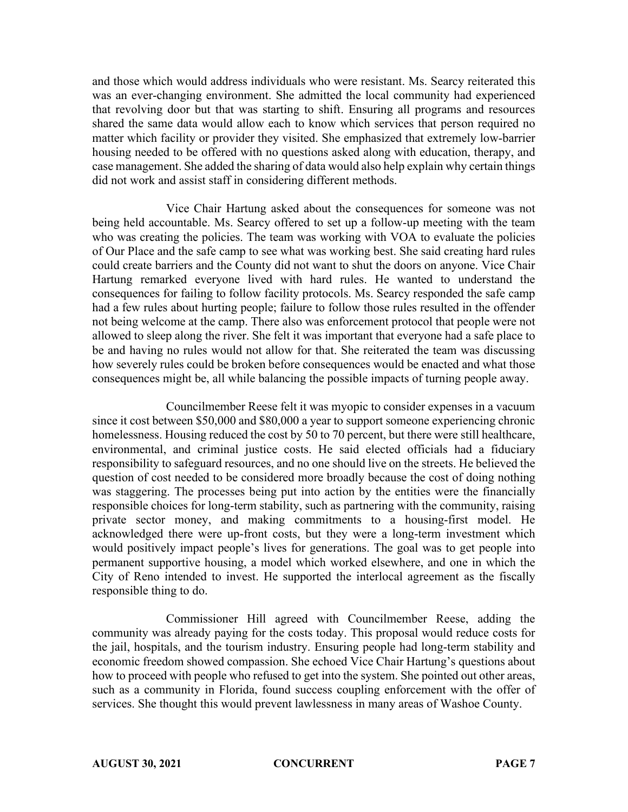and those which would address individuals who were resistant. Ms. Searcy reiterated this was an ever-changing environment. She admitted the local community had experienced that revolving door but that was starting to shift. Ensuring all programs and resources shared the same data would allow each to know which services that person required no matter which facility or provider they visited. She emphasized that extremely low-barrier housing needed to be offered with no questions asked along with education, therapy, and case management. She added the sharing of data would also help explain why certain things did not work and assist staff in considering different methods.

Vice Chair Hartung asked about the consequences for someone was not being held accountable. Ms. Searcy offered to set up a follow-up meeting with the team who was creating the policies. The team was working with VOA to evaluate the policies of Our Place and the safe camp to see what was working best. She said creating hard rules could create barriers and the County did not want to shut the doors on anyone. Vice Chair Hartung remarked everyone lived with hard rules. He wanted to understand the consequences for failing to follow facility protocols. Ms. Searcy responded the safe camp had a few rules about hurting people; failure to follow those rules resulted in the offender not being welcome at the camp. There also was enforcement protocol that people were not allowed to sleep along the river. She felt it was important that everyone had a safe place to be and having no rules would not allow for that. She reiterated the team was discussing how severely rules could be broken before consequences would be enacted and what those consequences might be, all while balancing the possible impacts of turning people away.

Councilmember Reese felt it was myopic to consider expenses in a vacuum since it cost between \$50,000 and \$80,000 a year to support someone experiencing chronic homelessness. Housing reduced the cost by 50 to 70 percent, but there were still healthcare, environmental, and criminal justice costs. He said elected officials had a fiduciary responsibility to safeguard resources, and no one should live on the streets. He believed the question of cost needed to be considered more broadly because the cost of doing nothing was staggering. The processes being put into action by the entities were the financially responsible choices for long-term stability, such as partnering with the community, raising private sector money, and making commitments to a housing-first model. He acknowledged there were up-front costs, but they were a long-term investment which would positively impact people's lives for generations. The goal was to get people into permanent supportive housing, a model which worked elsewhere, and one in which the City of Reno intended to invest. He supported the interlocal agreement as the fiscally responsible thing to do.

Commissioner Hill agreed with Councilmember Reese, adding the community was already paying for the costs today. This proposal would reduce costs for the jail, hospitals, and the tourism industry. Ensuring people had long-term stability and economic freedom showed compassion. She echoed Vice Chair Hartung's questions about how to proceed with people who refused to get into the system. She pointed out other areas, such as a community in Florida, found success coupling enforcement with the offer of services. She thought this would prevent lawlessness in many areas of Washoe County.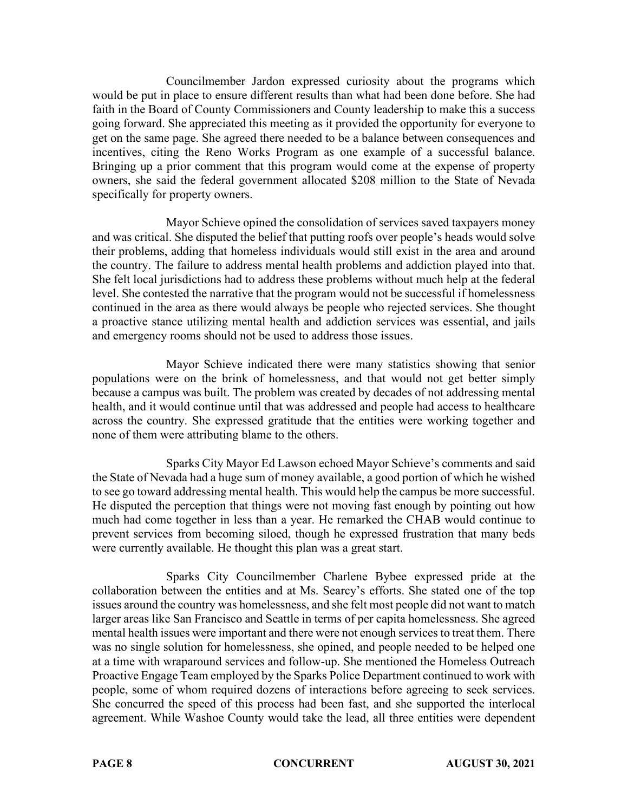Councilmember Jardon expressed curiosity about the programs which would be put in place to ensure different results than what had been done before. She had faith in the Board of County Commissioners and County leadership to make this a success going forward. She appreciated this meeting as it provided the opportunity for everyone to get on the same page. She agreed there needed to be a balance between consequences and incentives, citing the Reno Works Program as one example of a successful balance. Bringing up a prior comment that this program would come at the expense of property owners, she said the federal government allocated \$208 million to the State of Nevada specifically for property owners.

Mayor Schieve opined the consolidation of services saved taxpayers money and was critical. She disputed the belief that putting roofs over people's heads would solve their problems, adding that homeless individuals would still exist in the area and around the country. The failure to address mental health problems and addiction played into that. She felt local jurisdictions had to address these problems without much help at the federal level. She contested the narrative that the program would not be successful if homelessness continued in the area as there would always be people who rejected services. She thought a proactive stance utilizing mental health and addiction services was essential, and jails and emergency rooms should not be used to address those issues.

Mayor Schieve indicated there were many statistics showing that senior populations were on the brink of homelessness, and that would not get better simply because a campus was built. The problem was created by decades of not addressing mental health, and it would continue until that was addressed and people had access to healthcare across the country. She expressed gratitude that the entities were working together and none of them were attributing blame to the others.

Sparks City Mayor Ed Lawson echoed Mayor Schieve's comments and said the State of Nevada had a huge sum of money available, a good portion of which he wished to see go toward addressing mental health. This would help the campus be more successful. He disputed the perception that things were not moving fast enough by pointing out how much had come together in less than a year. He remarked the CHAB would continue to prevent services from becoming siloed, though he expressed frustration that many beds were currently available. He thought this plan was a great start.

Sparks City Councilmember Charlene Bybee expressed pride at the collaboration between the entities and at Ms. Searcy's efforts. She stated one of the top issues around the country was homelessness, and she felt most people did not want to match larger areas like San Francisco and Seattle in terms of per capita homelessness. She agreed mental health issues were important and there were not enough services to treat them. There was no single solution for homelessness, she opined, and people needed to be helped one at a time with wraparound services and follow-up. She mentioned the Homeless Outreach Proactive Engage Team employed by the Sparks Police Department continued to work with people, some of whom required dozens of interactions before agreeing to seek services. She concurred the speed of this process had been fast, and she supported the interlocal agreement. While Washoe County would take the lead, all three entities were dependent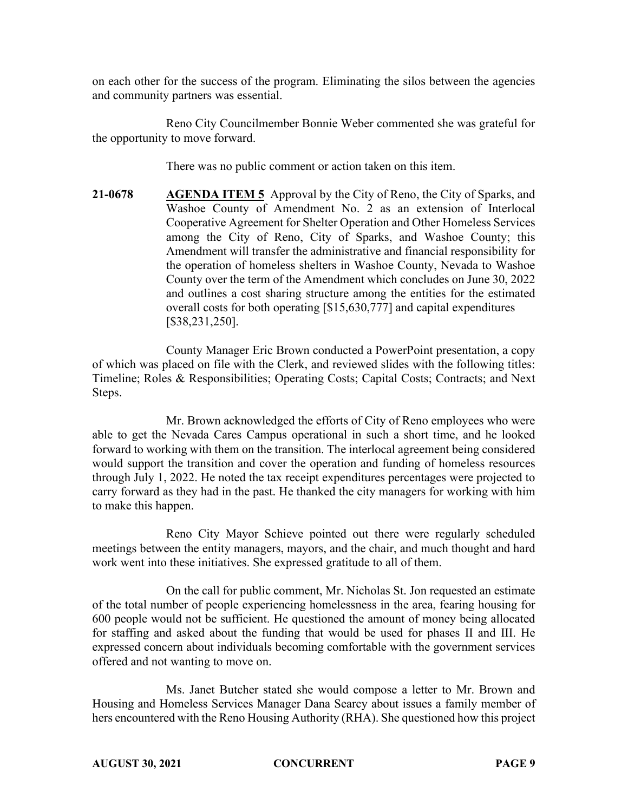on each other for the success of the program. Eliminating the silos between the agencies and community partners was essential.

Reno City Councilmember Bonnie Weber commented she was grateful for the opportunity to move forward.

There was no public comment or action taken on this item.

**21-0678 AGENDA ITEM 5** Approval by the City of Reno, the City of Sparks, and Washoe County of Amendment No. 2 as an extension of Interlocal Cooperative Agreement for Shelter Operation and Other Homeless Services among the City of Reno, City of Sparks, and Washoe County; this Amendment will transfer the administrative and financial responsibility for the operation of homeless shelters in Washoe County, Nevada to Washoe County over the term of the Amendment which concludes on June 30, 2022 and outlines a cost sharing structure among the entities for the estimated overall costs for both operating [\$15,630,777] and capital expenditures [\$38,231,250].

County Manager Eric Brown conducted a PowerPoint presentation, a copy of which was placed on file with the Clerk, and reviewed slides with the following titles: Timeline; Roles & Responsibilities; Operating Costs; Capital Costs; Contracts; and Next Steps.

Mr. Brown acknowledged the efforts of City of Reno employees who were able to get the Nevada Cares Campus operational in such a short time, and he looked forward to working with them on the transition. The interlocal agreement being considered would support the transition and cover the operation and funding of homeless resources through July 1, 2022. He noted the tax receipt expenditures percentages were projected to carry forward as they had in the past. He thanked the city managers for working with him to make this happen.

Reno City Mayor Schieve pointed out there were regularly scheduled meetings between the entity managers, mayors, and the chair, and much thought and hard work went into these initiatives. She expressed gratitude to all of them.

On the call for public comment, Mr. Nicholas St. Jon requested an estimate of the total number of people experiencing homelessness in the area, fearing housing for 600 people would not be sufficient. He questioned the amount of money being allocated for staffing and asked about the funding that would be used for phases II and III. He expressed concern about individuals becoming comfortable with the government services offered and not wanting to move on.

Ms. Janet Butcher stated she would compose a letter to Mr. Brown and Housing and Homeless Services Manager Dana Searcy about issues a family member of hers encountered with the Reno Housing Authority (RHA). She questioned how this project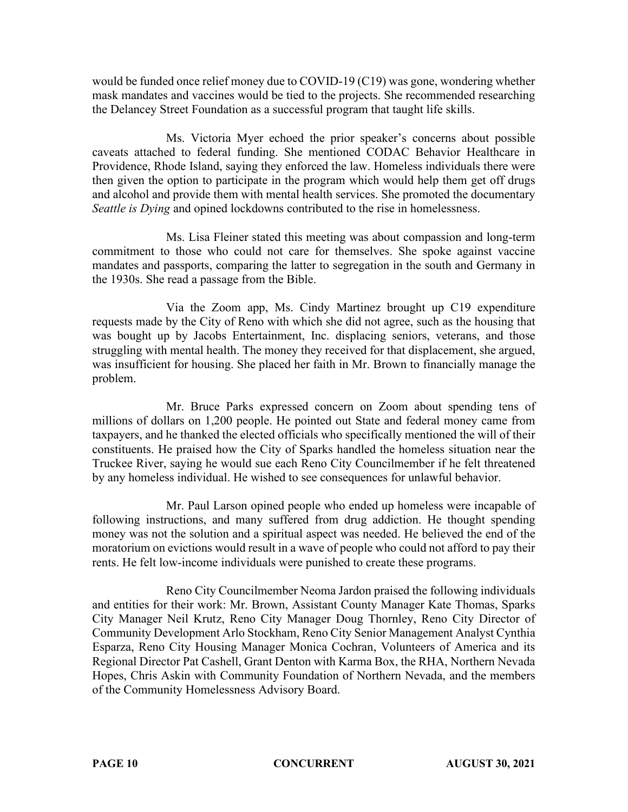would be funded once relief money due to COVID-19 (C19) was gone, wondering whether mask mandates and vaccines would be tied to the projects. She recommended researching the Delancey Street Foundation as a successful program that taught life skills.

Ms. Victoria Myer echoed the prior speaker's concerns about possible caveats attached to federal funding. She mentioned CODAC Behavior Healthcare in Providence, Rhode Island, saying they enforced the law. Homeless individuals there were then given the option to participate in the program which would help them get off drugs and alcohol and provide them with mental health services. She promoted the documentary *Seattle is Dying* and opined lockdowns contributed to the rise in homelessness.

Ms. Lisa Fleiner stated this meeting was about compassion and long-term commitment to those who could not care for themselves. She spoke against vaccine mandates and passports, comparing the latter to segregation in the south and Germany in the 1930s. She read a passage from the Bible.

Via the Zoom app, Ms. Cindy Martinez brought up C19 expenditure requests made by the City of Reno with which she did not agree, such as the housing that was bought up by Jacobs Entertainment, Inc. displacing seniors, veterans, and those struggling with mental health. The money they received for that displacement, she argued, was insufficient for housing. She placed her faith in Mr. Brown to financially manage the problem.

Mr. Bruce Parks expressed concern on Zoom about spending tens of millions of dollars on 1,200 people. He pointed out State and federal money came from taxpayers, and he thanked the elected officials who specifically mentioned the will of their constituents. He praised how the City of Sparks handled the homeless situation near the Truckee River, saying he would sue each Reno City Councilmember if he felt threatened by any homeless individual. He wished to see consequences for unlawful behavior.

Mr. Paul Larson opined people who ended up homeless were incapable of following instructions, and many suffered from drug addiction. He thought spending money was not the solution and a spiritual aspect was needed. He believed the end of the moratorium on evictions would result in a wave of people who could not afford to pay their rents. He felt low-income individuals were punished to create these programs.

Reno City Councilmember Neoma Jardon praised the following individuals and entities for their work: Mr. Brown, Assistant County Manager Kate Thomas, Sparks City Manager Neil Krutz, Reno City Manager Doug Thornley, Reno City Director of Community Development Arlo Stockham, Reno City Senior Management Analyst Cynthia Esparza, Reno City Housing Manager Monica Cochran, Volunteers of America and its Regional Director Pat Cashell, Grant Denton with Karma Box, the RHA, Northern Nevada Hopes, Chris Askin with Community Foundation of Northern Nevada, and the members of the Community Homelessness Advisory Board.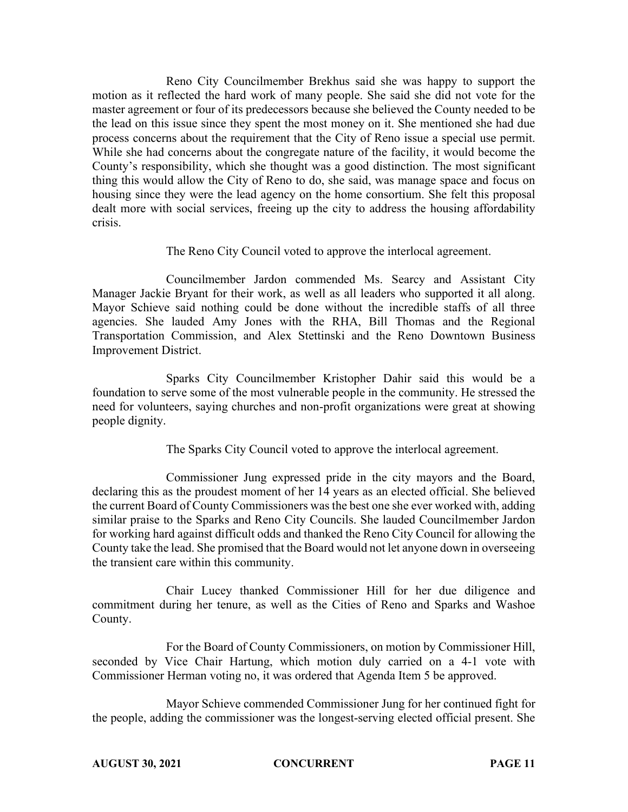Reno City Councilmember Brekhus said she was happy to support the motion as it reflected the hard work of many people. She said she did not vote for the master agreement or four of its predecessors because she believed the County needed to be the lead on this issue since they spent the most money on it. She mentioned she had due process concerns about the requirement that the City of Reno issue a special use permit. While she had concerns about the congregate nature of the facility, it would become the County's responsibility, which she thought was a good distinction. The most significant thing this would allow the City of Reno to do, she said, was manage space and focus on housing since they were the lead agency on the home consortium. She felt this proposal dealt more with social services, freeing up the city to address the housing affordability crisis.

The Reno City Council voted to approve the interlocal agreement.

Councilmember Jardon commended Ms. Searcy and Assistant City Manager Jackie Bryant for their work, as well as all leaders who supported it all along. Mayor Schieve said nothing could be done without the incredible staffs of all three agencies. She lauded Amy Jones with the RHA, Bill Thomas and the Regional Transportation Commission, and Alex Stettinski and the Reno Downtown Business Improvement District.

Sparks City Councilmember Kristopher Dahir said this would be a foundation to serve some of the most vulnerable people in the community. He stressed the need for volunteers, saying churches and non-profit organizations were great at showing people dignity.

The Sparks City Council voted to approve the interlocal agreement.

Commissioner Jung expressed pride in the city mayors and the Board, declaring this as the proudest moment of her 14 years as an elected official. She believed the current Board of County Commissioners was the best one she ever worked with, adding similar praise to the Sparks and Reno City Councils. She lauded Councilmember Jardon for working hard against difficult odds and thanked the Reno City Council for allowing the County take the lead. She promised that the Board would not let anyone down in overseeing the transient care within this community.

Chair Lucey thanked Commissioner Hill for her due diligence and commitment during her tenure, as well as the Cities of Reno and Sparks and Washoe County.

For the Board of County Commissioners, on motion by Commissioner Hill, seconded by Vice Chair Hartung, which motion duly carried on a 4-1 vote with Commissioner Herman voting no, it was ordered that Agenda Item 5 be approved.

Mayor Schieve commended Commissioner Jung for her continued fight for the people, adding the commissioner was the longest-serving elected official present. She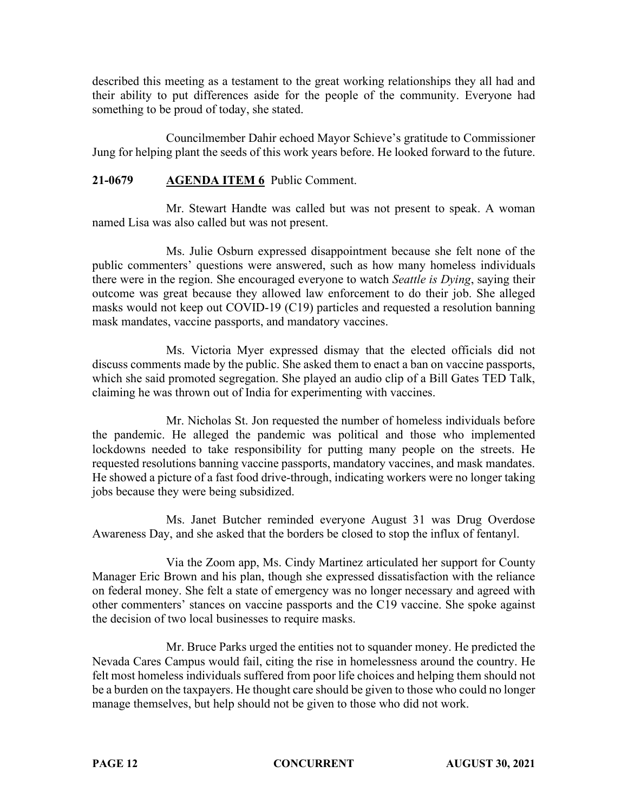described this meeting as a testament to the great working relationships they all had and their ability to put differences aside for the people of the community. Everyone had something to be proud of today, she stated.

Councilmember Dahir echoed Mayor Schieve's gratitude to Commissioner Jung for helping plant the seeds of this work years before. He looked forward to the future.

# **21-0679 AGENDA ITEM 6** Public Comment.

Mr. Stewart Handte was called but was not present to speak. A woman named Lisa was also called but was not present.

Ms. Julie Osburn expressed disappointment because she felt none of the public commenters' questions were answered, such as how many homeless individuals there were in the region. She encouraged everyone to watch *Seattle is Dying*, saying their outcome was great because they allowed law enforcement to do their job. She alleged masks would not keep out COVID-19 (C19) particles and requested a resolution banning mask mandates, vaccine passports, and mandatory vaccines.

Ms. Victoria Myer expressed dismay that the elected officials did not discuss comments made by the public. She asked them to enact a ban on vaccine passports, which she said promoted segregation. She played an audio clip of a Bill Gates TED Talk, claiming he was thrown out of India for experimenting with vaccines.

Mr. Nicholas St. Jon requested the number of homeless individuals before the pandemic. He alleged the pandemic was political and those who implemented lockdowns needed to take responsibility for putting many people on the streets. He requested resolutions banning vaccine passports, mandatory vaccines, and mask mandates. He showed a picture of a fast food drive-through, indicating workers were no longer taking jobs because they were being subsidized.

Ms. Janet Butcher reminded everyone August 31 was Drug Overdose Awareness Day, and she asked that the borders be closed to stop the influx of fentanyl.

Via the Zoom app, Ms. Cindy Martinez articulated her support for County Manager Eric Brown and his plan, though she expressed dissatisfaction with the reliance on federal money. She felt a state of emergency was no longer necessary and agreed with other commenters' stances on vaccine passports and the C19 vaccine. She spoke against the decision of two local businesses to require masks.

Mr. Bruce Parks urged the entities not to squander money. He predicted the Nevada Cares Campus would fail, citing the rise in homelessness around the country. He felt most homeless individuals suffered from poor life choices and helping them should not be a burden on the taxpayers. He thought care should be given to those who could no longer manage themselves, but help should not be given to those who did not work.